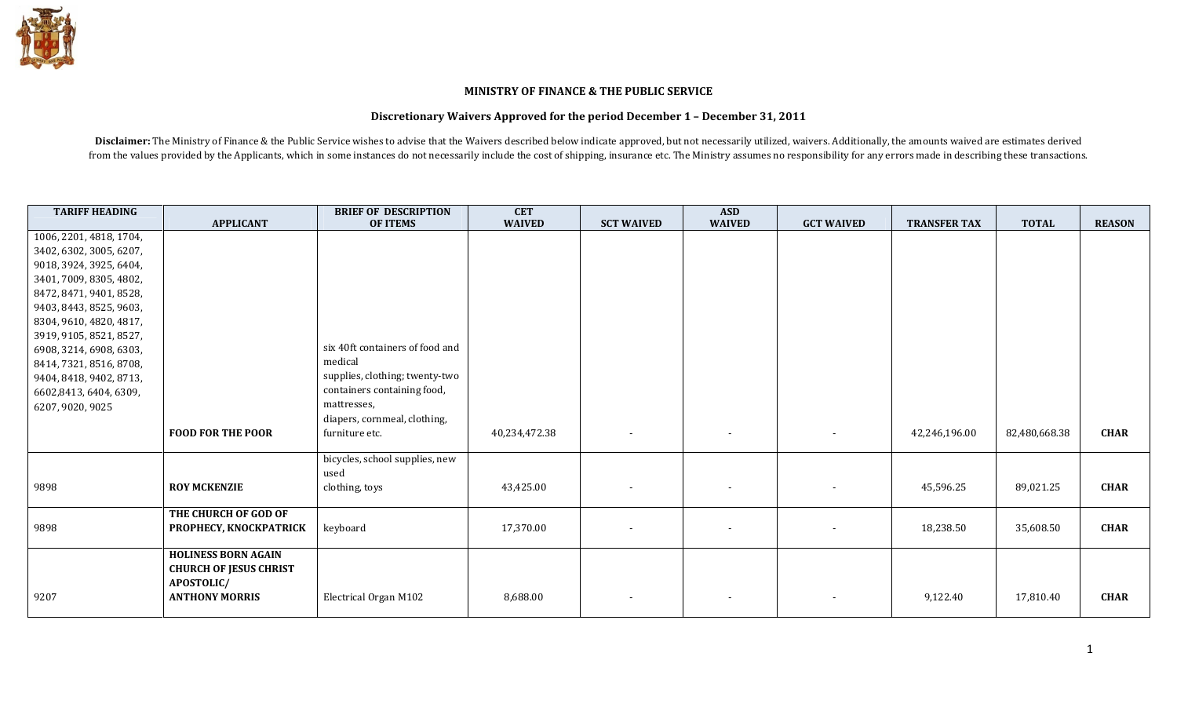

## MINISTRY OF FINANCE & THE PUBLIC SERVICE

## Discretionary Waivers Approved for the period December 1 – December 31, 2011

Disclaimer: The Ministry of Finance & the Public Service wishes to advise that the Waivers described below indicate approved, but not necessarily utilized, waivers. Additionally, the amounts waived are estimates derived from the values provided by the Applicants, which in some instances do not necessarily include the cost of shipping, insurance etc. The Ministry assumes no responsibility for any errors made in describing these transaction

| <b>TARIFF HEADING</b>   |                               | <b>BRIEF OF DESCRIPTION</b>     | <b>CET</b>    |                          | <b>ASD</b>               |                          |                     |               |               |
|-------------------------|-------------------------------|---------------------------------|---------------|--------------------------|--------------------------|--------------------------|---------------------|---------------|---------------|
|                         | <b>APPLICANT</b>              | <b>OF ITEMS</b>                 | <b>WAIVED</b> | <b>SCT WAIVED</b>        | <b>WAIVED</b>            | <b>GCT WAIVED</b>        | <b>TRANSFER TAX</b> | <b>TOTAL</b>  | <b>REASON</b> |
| 1006, 2201, 4818, 1704, |                               |                                 |               |                          |                          |                          |                     |               |               |
| 3402, 6302, 3005, 6207, |                               |                                 |               |                          |                          |                          |                     |               |               |
| 9018, 3924, 3925, 6404, |                               |                                 |               |                          |                          |                          |                     |               |               |
| 3401, 7009, 8305, 4802, |                               |                                 |               |                          |                          |                          |                     |               |               |
| 8472, 8471, 9401, 8528, |                               |                                 |               |                          |                          |                          |                     |               |               |
| 9403, 8443, 8525, 9603, |                               |                                 |               |                          |                          |                          |                     |               |               |
| 8304, 9610, 4820, 4817, |                               |                                 |               |                          |                          |                          |                     |               |               |
| 3919, 9105, 8521, 8527, |                               |                                 |               |                          |                          |                          |                     |               |               |
| 6908, 3214, 6908, 6303, |                               | six 40ft containers of food and |               |                          |                          |                          |                     |               |               |
| 8414, 7321, 8516, 8708, |                               | medical                         |               |                          |                          |                          |                     |               |               |
| 9404, 8418, 9402, 8713, |                               | supplies, clothing; twenty-two  |               |                          |                          |                          |                     |               |               |
| 6602,8413,6404,6309,    |                               | containers containing food,     |               |                          |                          |                          |                     |               |               |
| 6207, 9020, 9025        |                               | mattresses,                     |               |                          |                          |                          |                     |               |               |
|                         |                               | diapers, cornmeal, clothing,    |               |                          |                          |                          |                     |               |               |
|                         | <b>FOOD FOR THE POOR</b>      | furniture etc.                  | 40,234,472.38 | $\overline{\phantom{a}}$ | $\overline{\phantom{a}}$ | $\overline{\phantom{a}}$ | 42,246,196.00       | 82,480,668.38 | <b>CHAR</b>   |
|                         |                               |                                 |               |                          |                          |                          |                     |               |               |
|                         |                               | bicycles, school supplies, new  |               |                          |                          |                          |                     |               |               |
|                         |                               | used                            |               |                          |                          |                          |                     |               |               |
| 9898                    | <b>ROY MCKENZIE</b>           | clothing, toys                  | 43,425.00     | $\overline{\phantom{a}}$ | $\overline{\phantom{a}}$ | $\overline{\phantom{a}}$ | 45,596.25           | 89,021.25     | <b>CHAR</b>   |
|                         |                               |                                 |               |                          |                          |                          |                     |               |               |
|                         | THE CHURCH OF GOD OF          |                                 |               |                          |                          |                          |                     |               |               |
| 9898                    | PROPHECY, KNOCKPATRICK        | keyboard                        | 17,370.00     | $\overline{\phantom{a}}$ | $\overline{\phantom{a}}$ | $\overline{\phantom{a}}$ | 18,238.50           | 35,608.50     | <b>CHAR</b>   |
|                         | <b>HOLINESS BORN AGAIN</b>    |                                 |               |                          |                          |                          |                     |               |               |
|                         | <b>CHURCH OF JESUS CHRIST</b> |                                 |               |                          |                          |                          |                     |               |               |
|                         |                               |                                 |               |                          |                          |                          |                     |               |               |
|                         | APOSTOLIC/                    |                                 |               |                          |                          |                          |                     |               |               |
| 9207                    | <b>ANTHONY MORRIS</b>         | Electrical Organ M102           | 8,688.00      | $\overline{\phantom{a}}$ | $\overline{\phantom{a}}$ | $\overline{\phantom{a}}$ | 9,122.40            | 17,810.40     | <b>CHAR</b>   |
|                         |                               |                                 |               |                          |                          |                          |                     |               |               |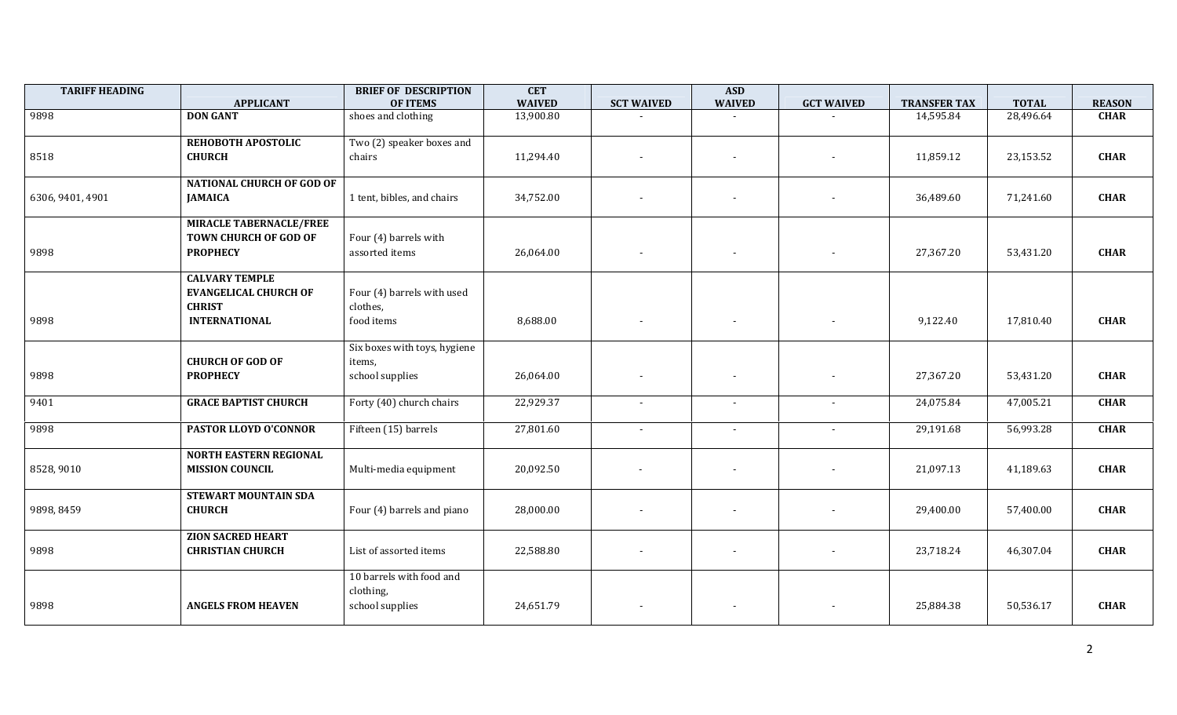| <b>TARIFF HEADING</b> | <b>APPLICANT</b>                                                                               | <b>BRIEF OF DESCRIPTION</b><br><b>OF ITEMS</b>            | <b>CET</b><br><b>WAIVED</b> | <b>SCT WAIVED</b>        | <b>ASD</b><br><b>WAIVED</b> | <b>GCT WAIVED</b>        | <b>TRANSFER TAX</b> | <b>TOTAL</b> | <b>REASON</b> |
|-----------------------|------------------------------------------------------------------------------------------------|-----------------------------------------------------------|-----------------------------|--------------------------|-----------------------------|--------------------------|---------------------|--------------|---------------|
| 9898                  | <b>DON GANT</b>                                                                                | shoes and clothing                                        | 13,900.80                   |                          |                             |                          | 14,595.84           | 28,496.64    | <b>CHAR</b>   |
| 8518                  | REHOBOTH APOSTOLIC<br><b>CHURCH</b>                                                            | Two (2) speaker boxes and<br>chairs                       | 11,294.40                   |                          |                             |                          | 11,859.12           | 23,153.52    | <b>CHAR</b>   |
| 6306, 9401, 4901      | <b>NATIONAL CHURCH OF GOD OF</b><br><b>JAMAICA</b>                                             | 1 tent, bibles, and chairs                                | 34,752.00                   |                          |                             |                          | 36,489.60           | 71,241.60    | <b>CHAR</b>   |
| 9898                  | <b>MIRACLE TABERNACLE/FREE</b><br>TOWN CHURCH OF GOD OF<br><b>PROPHECY</b>                     | Four (4) barrels with<br>assorted items                   | 26,064.00                   | $\overline{\phantom{a}}$ |                             |                          | 27,367.20           | 53,431.20    | <b>CHAR</b>   |
| 9898                  | <b>CALVARY TEMPLE</b><br><b>EVANGELICAL CHURCH OF</b><br><b>CHRIST</b><br><b>INTERNATIONAL</b> | Four (4) barrels with used<br>clothes,<br>food items      | 8,688.00                    |                          |                             |                          | 9,122.40            | 17,810.40    | <b>CHAR</b>   |
| 9898                  | <b>CHURCH OF GOD OF</b><br><b>PROPHECY</b>                                                     | Six boxes with toys, hygiene<br>items,<br>school supplies | 26,064.00                   |                          |                             | $\overline{\phantom{a}}$ | 27,367.20           | 53,431.20    | <b>CHAR</b>   |
| 9401                  | <b>GRACE BAPTIST CHURCH</b>                                                                    | Forty (40) church chairs                                  | 22,929.37                   | $\overline{\phantom{a}}$ | $\overline{\phantom{a}}$    | $\sim$                   | 24,075.84           | 47,005.21    | <b>CHAR</b>   |
| 9898                  | PASTOR LLOYD O'CONNOR                                                                          | Fifteen (15) barrels                                      | 27,801.60                   | $\sim$                   | $\sim$                      | $\overline{\phantom{a}}$ | 29,191.68           | 56,993.28    | <b>CHAR</b>   |
| 8528,9010             | <b>NORTH EASTERN REGIONAL</b><br><b>MISSION COUNCIL</b>                                        | Multi-media equipment                                     | 20,092.50                   |                          |                             |                          | 21,097.13           | 41,189.63    | <b>CHAR</b>   |
| 9898, 8459            | <b>STEWART MOUNTAIN SDA</b><br><b>CHURCH</b>                                                   | Four (4) barrels and piano                                | 28,000.00                   |                          |                             |                          | 29,400.00           | 57,400.00    | <b>CHAR</b>   |
| 9898                  | <b>ZION SACRED HEART</b><br><b>CHRISTIAN CHURCH</b>                                            | List of assorted items                                    | 22,588.80                   |                          |                             |                          | 23,718.24           | 46,307.04    | <b>CHAR</b>   |
| 9898                  | <b>ANGELS FROM HEAVEN</b>                                                                      | 10 barrels with food and<br>clothing,<br>school supplies  | 24,651.79                   |                          |                             |                          | 25,884.38           | 50,536.17    | <b>CHAR</b>   |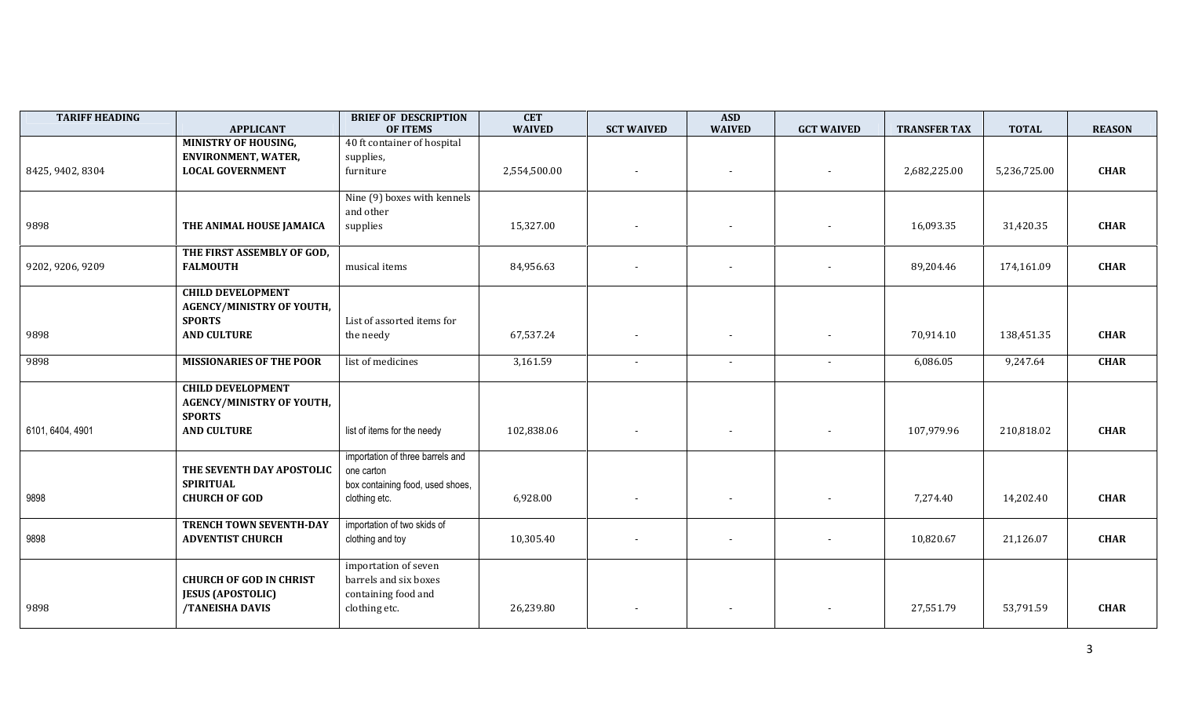| <b>TARIFF HEADING</b> | <b>APPLICANT</b>                 | <b>BRIEF OF DESCRIPTION</b><br><b>OF ITEMS</b> | <b>CET</b><br><b>WAIVED</b> | <b>SCT WAIVED</b>        | <b>ASD</b><br><b>WAIVED</b> | <b>GCT WAIVED</b>        | <b>TRANSFER TAX</b> | <b>TOTAL</b> | <b>REASON</b> |
|-----------------------|----------------------------------|------------------------------------------------|-----------------------------|--------------------------|-----------------------------|--------------------------|---------------------|--------------|---------------|
|                       | <b>MINISTRY OF HOUSING,</b>      | 40 ft container of hospital                    |                             |                          |                             |                          |                     |              |               |
|                       | ENVIRONMENT, WATER,              | supplies,                                      |                             |                          |                             |                          |                     |              |               |
| 8425, 9402, 8304      | <b>LOCAL GOVERNMENT</b>          | furniture                                      | 2,554,500.00                | $\overline{\phantom{a}}$ | $\overline{\phantom{a}}$    | $\overline{\phantom{a}}$ | 2,682,225.00        | 5,236,725.00 | <b>CHAR</b>   |
|                       |                                  |                                                |                             |                          |                             |                          |                     |              |               |
|                       |                                  | Nine (9) boxes with kennels                    |                             |                          |                             |                          |                     |              |               |
|                       |                                  | and other                                      |                             |                          |                             |                          |                     |              |               |
| 9898                  | THE ANIMAL HOUSE JAMAICA         | supplies                                       | 15,327.00                   |                          | $\overline{\phantom{a}}$    |                          | 16,093.35           | 31,420.35    | <b>CHAR</b>   |
|                       |                                  |                                                |                             |                          |                             |                          |                     |              |               |
|                       | THE FIRST ASSEMBLY OF GOD,       |                                                |                             |                          |                             |                          |                     |              |               |
| 9202, 9206, 9209      | <b>FALMOUTH</b>                  | musical items                                  | 84,956.63                   | $\overline{\phantom{a}}$ | $\overline{\phantom{a}}$    |                          | 89,204.46           | 174,161.09   | <b>CHAR</b>   |
|                       |                                  |                                                |                             |                          |                             |                          |                     |              |               |
|                       | <b>CHILD DEVELOPMENT</b>         |                                                |                             |                          |                             |                          |                     |              |               |
|                       | <b>AGENCY/MINISTRY OF YOUTH,</b> |                                                |                             |                          |                             |                          |                     |              |               |
|                       | <b>SPORTS</b>                    | List of assorted items for                     |                             |                          |                             |                          |                     |              |               |
| 9898                  | <b>AND CULTURE</b>               | the needy                                      | 67,537.24                   | $\blacksquare$           | $\overline{\phantom{a}}$    | $\overline{\phantom{a}}$ | 70,914.10           | 138.451.35   | <b>CHAR</b>   |
| 9898                  | <b>MISSIONARIES OF THE POOR</b>  | list of medicines                              | 3,161.59                    | $\sim$                   | $\sim$                      | $\blacksquare$           | 6,086.05            | 9,247.64     | <b>CHAR</b>   |
|                       |                                  |                                                |                             |                          |                             |                          |                     |              |               |
|                       | <b>CHILD DEVELOPMENT</b>         |                                                |                             |                          |                             |                          |                     |              |               |
|                       | <b>AGENCY/MINISTRY OF YOUTH,</b> |                                                |                             |                          |                             |                          |                     |              |               |
|                       | <b>SPORTS</b>                    |                                                |                             |                          |                             |                          |                     |              |               |
| 6101, 6404, 4901      | <b>AND CULTURE</b>               | list of items for the needy                    | 102,838.06                  | $\overline{\phantom{a}}$ | $\overline{\phantom{a}}$    | $\overline{\phantom{a}}$ | 107,979.96          | 210,818.02   | <b>CHAR</b>   |
|                       |                                  |                                                |                             |                          |                             |                          |                     |              |               |
|                       |                                  | importation of three barrels and               |                             |                          |                             |                          |                     |              |               |
|                       | THE SEVENTH DAY APOSTOLIC        | one carton                                     |                             |                          |                             |                          |                     |              |               |
|                       | <b>SPIRITUAL</b>                 | box containing food, used shoes,               |                             |                          |                             |                          |                     |              |               |
| 9898                  | <b>CHURCH OF GOD</b>             | clothing etc.                                  | 6,928.00                    | $\blacksquare$           | $\overline{\phantom{a}}$    | $\overline{\phantom{a}}$ | 7,274.40            | 14,202.40    | <b>CHAR</b>   |
|                       |                                  |                                                |                             |                          |                             |                          |                     |              |               |
| 9898                  | <b>TRENCH TOWN SEVENTH-DAY</b>   | importation of two skids of                    |                             |                          |                             |                          |                     |              | <b>CHAR</b>   |
|                       | <b>ADVENTIST CHURCH</b>          | clothing and toy                               | 10,305.40                   |                          |                             |                          | 10,820.67           | 21,126.07    |               |
|                       |                                  | importation of seven                           |                             |                          |                             |                          |                     |              |               |
|                       | <b>CHURCH OF GOD IN CHRIST</b>   | barrels and six boxes                          |                             |                          |                             |                          |                     |              |               |
|                       | <b>JESUS (APOSTOLIC)</b>         | containing food and                            |                             |                          |                             |                          |                     |              |               |
| 9898                  | /TANEISHA DAVIS                  | clothing etc.                                  | 26,239.80                   |                          | $\overline{\phantom{a}}$    | $\overline{\phantom{a}}$ | 27,551.79           | 53,791.59    | <b>CHAR</b>   |
|                       |                                  |                                                |                             |                          |                             |                          |                     |              |               |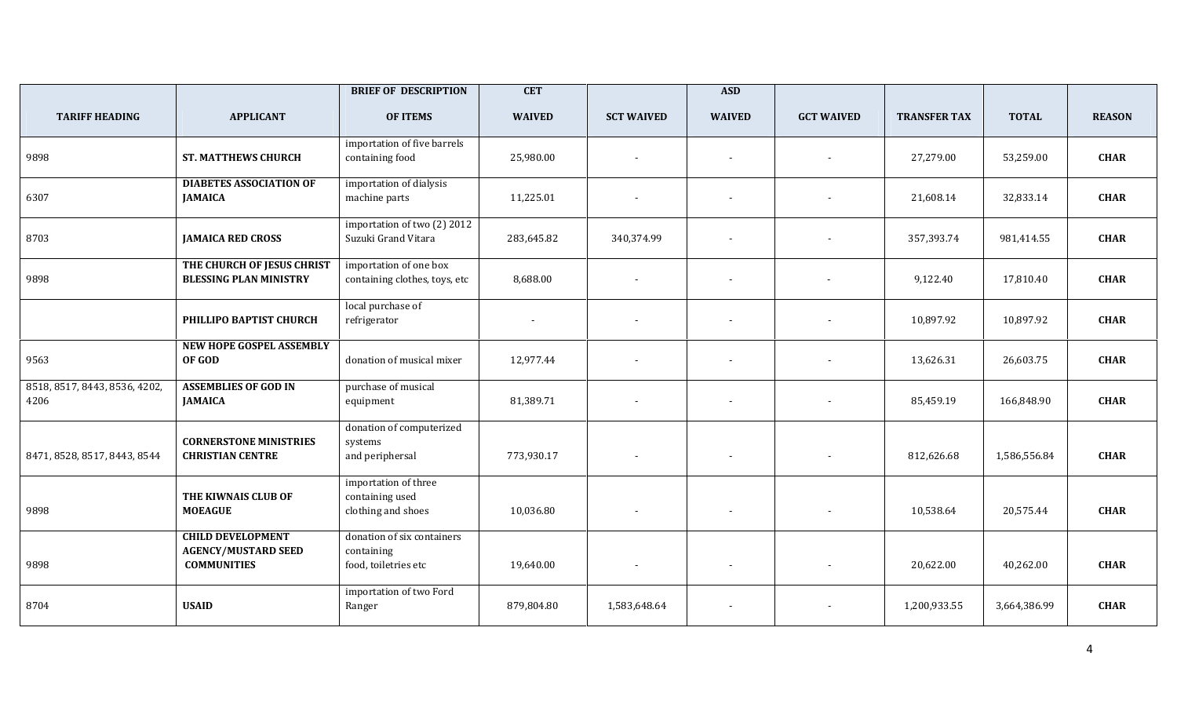|                                       |                                                                              | <b>BRIEF OF DESCRIPTION</b>                                      | <b>CET</b>    |                          | <b>ASD</b>               |                   |                     |              |               |
|---------------------------------------|------------------------------------------------------------------------------|------------------------------------------------------------------|---------------|--------------------------|--------------------------|-------------------|---------------------|--------------|---------------|
| <b>TARIFF HEADING</b>                 | <b>APPLICANT</b>                                                             | <b>OF ITEMS</b>                                                  | <b>WAIVED</b> | <b>SCT WAIVED</b>        | <b>WAIVED</b>            | <b>GCT WAIVED</b> | <b>TRANSFER TAX</b> | <b>TOTAL</b> | <b>REASON</b> |
| 9898                                  | <b>ST. MATTHEWS CHURCH</b>                                                   | importation of five barrels<br>containing food                   | 25,980.00     |                          | $\overline{\phantom{a}}$ |                   | 27,279.00           | 53,259.00    | <b>CHAR</b>   |
| 6307                                  | <b>DIABETES ASSOCIATION OF</b><br><b>JAMAICA</b>                             | importation of dialysis<br>machine parts                         | 11,225.01     | $\blacksquare$           |                          |                   | 21,608.14           | 32,833.14    | <b>CHAR</b>   |
| 8703                                  | <b>JAMAICA RED CROSS</b>                                                     | importation of two (2) 2012<br>Suzuki Grand Vitara               | 283,645.82    | 340,374.99               | $\sim$                   |                   | 357,393.74          | 981,414.55   | <b>CHAR</b>   |
| 9898                                  | THE CHURCH OF JESUS CHRIST<br><b>BLESSING PLAN MINISTRY</b>                  | importation of one box<br>containing clothes, toys, etc          | 8,688.00      | $\blacksquare$           | $\overline{\phantom{a}}$ |                   | 9,122.40            | 17,810.40    | <b>CHAR</b>   |
|                                       | PHILLIPO BAPTIST CHURCH                                                      | local purchase of<br>refrigerator                                |               |                          | $\overline{\phantom{a}}$ |                   | 10,897.92           | 10,897.92    | <b>CHAR</b>   |
| 9563                                  | <b>NEW HOPE GOSPEL ASSEMBLY</b><br>OF GOD                                    | donation of musical mixer                                        | 12,977.44     | $\overline{\phantom{a}}$ | $\overline{\phantom{a}}$ |                   | 13,626.31           | 26,603.75    | <b>CHAR</b>   |
| 8518, 8517, 8443, 8536, 4202,<br>4206 | <b>ASSEMBLIES OF GOD IN</b><br><b>JAMAICA</b>                                | purchase of musical<br>equipment                                 | 81,389.71     |                          |                          |                   | 85,459.19           | 166,848.90   | <b>CHAR</b>   |
| 8471, 8528, 8517, 8443, 8544          | <b>CORNERSTONE MINISTRIES</b><br><b>CHRISTIAN CENTRE</b>                     | donation of computerized<br>systems<br>and periphersal           | 773,930.17    |                          |                          |                   | 812,626.68          | 1,586,556.84 | <b>CHAR</b>   |
| 9898                                  | THE KIWNAIS CLUB OF<br><b>MOEAGUE</b>                                        | importation of three<br>containing used<br>clothing and shoes    | 10,036.80     | $\overline{\phantom{a}}$ | $\overline{\phantom{a}}$ |                   | 10,538.64           | 20,575.44    | <b>CHAR</b>   |
| 9898                                  | <b>CHILD DEVELOPMENT</b><br><b>AGENCY/MUSTARD SEED</b><br><b>COMMUNITIES</b> | donation of six containers<br>containing<br>food, toiletries etc | 19,640.00     | $\overline{\phantom{a}}$ | $\overline{\phantom{a}}$ |                   | 20,622.00           | 40,262.00    | <b>CHAR</b>   |
| 8704                                  | <b>USAID</b>                                                                 | importation of two Ford<br>Ranger                                | 879,804.80    | 1,583,648.64             |                          |                   | 1,200,933.55        | 3,664,386.99 | <b>CHAR</b>   |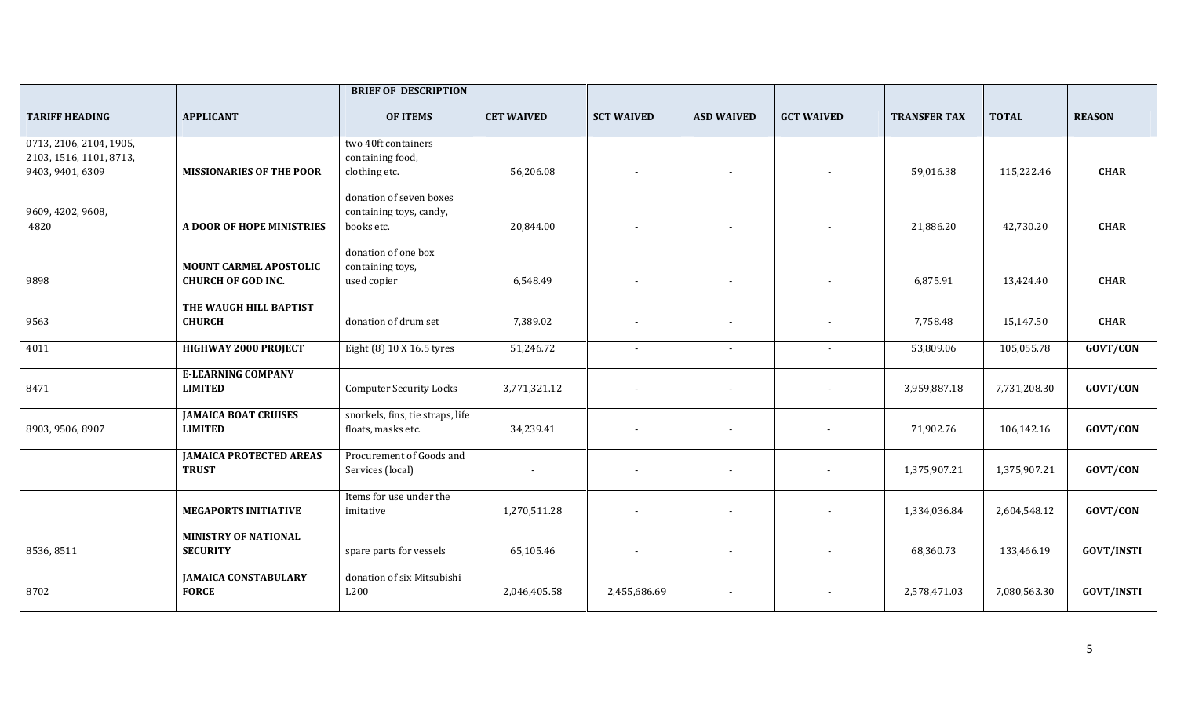|                                                                        |                                                     | <b>BRIEF OF DESCRIPTION</b>                                      |                   |                          |                          |                   |                     |              |                   |
|------------------------------------------------------------------------|-----------------------------------------------------|------------------------------------------------------------------|-------------------|--------------------------|--------------------------|-------------------|---------------------|--------------|-------------------|
| <b>TARIFF HEADING</b>                                                  | <b>APPLICANT</b>                                    | <b>OF ITEMS</b>                                                  | <b>CET WAIVED</b> | <b>SCT WAIVED</b>        | <b>ASD WAIVED</b>        | <b>GCT WAIVED</b> | <b>TRANSFER TAX</b> | <b>TOTAL</b> | <b>REASON</b>     |
| 0713, 2106, 2104, 1905,<br>2103, 1516, 1101, 8713,<br>9403, 9401, 6309 | <b>MISSIONARIES OF THE POOR</b>                     | two 40ft containers<br>containing food,<br>clothing etc.         | 56,206.08         | $\overline{\phantom{a}}$ | $\sim$                   |                   | 59,016.38           | 115,222.46   | <b>CHAR</b>       |
| 9609, 4202, 9608,<br>4820                                              | A DOOR OF HOPE MINISTRIES                           | donation of seven boxes<br>containing toys, candy,<br>books etc. | 20,844.00         |                          | $\overline{\phantom{a}}$ |                   | 21,886.20           | 42,730.20    | <b>CHAR</b>       |
| 9898                                                                   | MOUNT CARMEL APOSTOLIC<br><b>CHURCH OF GOD INC.</b> | donation of one box<br>containing toys,<br>used copier           | 6,548.49          |                          |                          |                   | 6,875.91            | 13,424.40    | <b>CHAR</b>       |
| 9563                                                                   | THE WAUGH HILL BAPTIST<br><b>CHURCH</b>             | donation of drum set                                             | 7,389.02          | $\overline{\phantom{a}}$ | $\overline{\phantom{a}}$ |                   | 7,758.48            | 15,147.50    | <b>CHAR</b>       |
| 4011                                                                   | HIGHWAY 2000 PROJECT                                | Eight (8) 10 X 16.5 tyres                                        | 51,246.72         | $\sim$                   | $\sim$                   | $\sim$            | 53,809.06           | 105,055.78   | GOVT/CON          |
| 8471                                                                   | <b>E-LEARNING COMPANY</b><br><b>LIMITED</b>         | <b>Computer Security Locks</b>                                   | 3,771,321.12      | $\sim$                   | $\sim$                   |                   | 3,959,887.18        | 7,731,208.30 | GOVT/CON          |
| 8903, 9506, 8907                                                       | <b>JAMAICA BOAT CRUISES</b><br><b>LIMITED</b>       | snorkels, fins, tie straps, life<br>floats, masks etc.           | 34,239.41         |                          |                          |                   | 71,902.76           | 106,142.16   | GOVT/CON          |
|                                                                        | <b>JAMAICA PROTECTED AREAS</b><br><b>TRUST</b>      | Procurement of Goods and<br>Services (local)                     |                   |                          |                          |                   | 1,375,907.21        | 1,375,907.21 | <b>GOVT/CON</b>   |
|                                                                        | <b>MEGAPORTS INITIATIVE</b>                         | Items for use under the<br>imitative                             | 1,270,511.28      | $\sim$                   | $\sim$                   |                   | 1,334,036.84        | 2,604,548.12 | <b>GOVT/CON</b>   |
| 8536, 8511                                                             | <b>MINISTRY OF NATIONAL</b><br><b>SECURITY</b>      | spare parts for vessels                                          | 65,105.46         | $\overline{\phantom{a}}$ | $\overline{\phantom{a}}$ |                   | 68,360.73           | 133,466.19   | <b>GOVT/INSTI</b> |
| 8702                                                                   | <b>JAMAICA CONSTABULARY</b><br><b>FORCE</b>         | donation of six Mitsubishi<br>L200                               | 2,046,405.58      | 2,455,686.69             |                          |                   | 2,578,471.03        | 7,080,563.30 | <b>GOVT/INSTI</b> |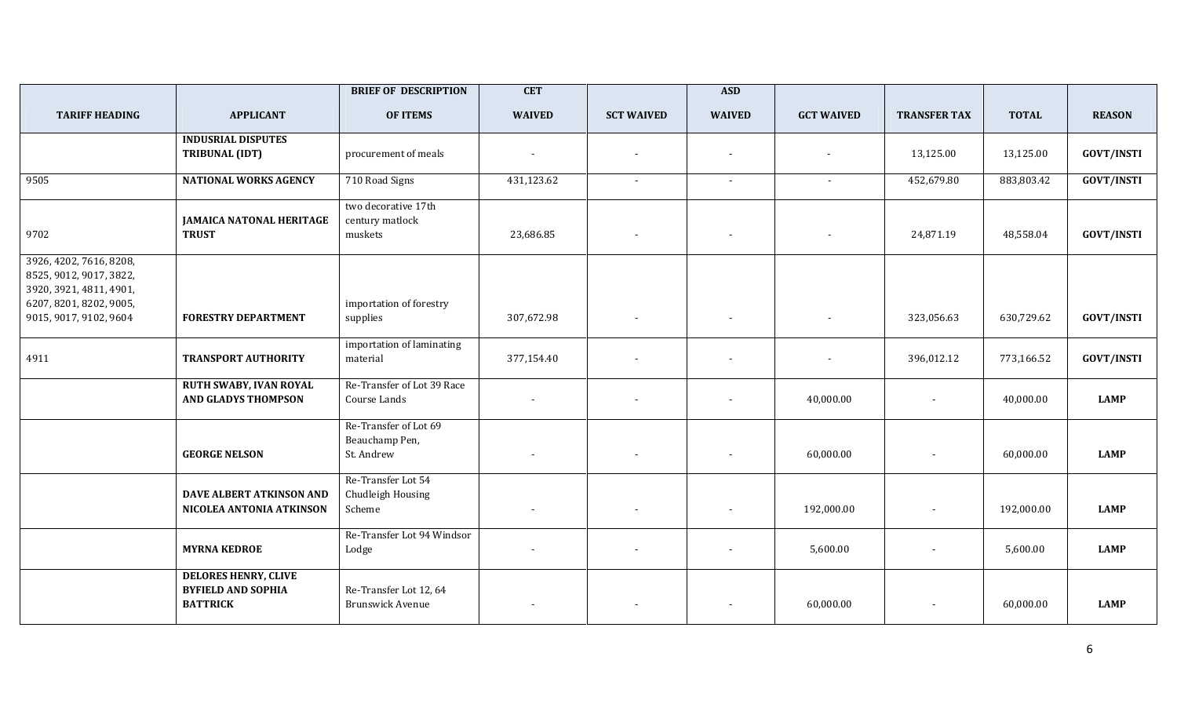|                                                                                                                                    |                                                                             | <b>BRIEF OF DESCRIPTION</b>                           | <b>CET</b>               |                          | <b>ASD</b>               |                   |                     |              |                   |
|------------------------------------------------------------------------------------------------------------------------------------|-----------------------------------------------------------------------------|-------------------------------------------------------|--------------------------|--------------------------|--------------------------|-------------------|---------------------|--------------|-------------------|
| <b>TARIFF HEADING</b>                                                                                                              | <b>APPLICANT</b>                                                            | <b>OF ITEMS</b>                                       | <b>WAIVED</b>            | <b>SCT WAIVED</b>        | <b>WAIVED</b>            | <b>GCT WAIVED</b> | <b>TRANSFER TAX</b> | <b>TOTAL</b> | <b>REASON</b>     |
|                                                                                                                                    | <b>INDUSRIAL DISPUTES</b><br>TRIBUNAL (IDT)                                 | procurement of meals                                  | $\overline{\phantom{a}}$ | $\overline{\phantom{a}}$ | $\overline{\phantom{a}}$ |                   | 13,125.00           | 13,125.00    | <b>GOVT/INSTI</b> |
| 9505                                                                                                                               | <b>NATIONAL WORKS AGENCY</b>                                                | 710 Road Signs                                        | 431,123.62               | $\sim$                   | $\sim$                   | $\sim$            | 452,679.80          | 883,803.42   | <b>GOVT/INSTI</b> |
| 9702                                                                                                                               | <b>JAMAICA NATONAL HERITAGE</b><br><b>TRUST</b>                             | two decorative 17th<br>century matlock<br>muskets     | 23,686.85                | $\overline{a}$           |                          |                   | 24,871.19           | 48,558.04    | <b>GOVT/INSTI</b> |
| 3926, 4202, 7616, 8208,<br>8525, 9012, 9017, 3822,<br>3920, 3921, 4811, 4901,<br>6207, 8201, 8202, 9005,<br>9015, 9017, 9102, 9604 | <b>FORESTRY DEPARTMENT</b>                                                  | importation of forestry<br>supplies                   | 307,672.98               | $\overline{\phantom{a}}$ | $\overline{a}$           |                   | 323,056.63          | 630,729.62   | <b>GOVT/INSTI</b> |
| 4911                                                                                                                               | <b>TRANSPORT AUTHORITY</b>                                                  | importation of laminating<br>material                 | 377,154.40               |                          | $\overline{\phantom{a}}$ |                   | 396,012.12          | 773,166.52   | <b>GOVT/INSTI</b> |
|                                                                                                                                    | RUTH SWABY, IVAN ROYAL<br><b>AND GLADYS THOMPSON</b>                        | Re-Transfer of Lot 39 Race<br>Course Lands            |                          |                          |                          | 40,000.00         |                     | 40,000.00    | <b>LAMP</b>       |
|                                                                                                                                    | <b>GEORGE NELSON</b>                                                        | Re-Transfer of Lot 69<br>Beauchamp Pen,<br>St. Andrew | $\overline{\phantom{a}}$ | $\overline{\phantom{a}}$ | $\overline{\phantom{a}}$ | 60,000.00         |                     | 60,000.00    | <b>LAMP</b>       |
|                                                                                                                                    | <b>DAVE ALBERT ATKINSON AND</b><br>NICOLEA ANTONIA ATKINSON                 | Re-Transfer Lot 54<br>Chudleigh Housing<br>Scheme     |                          | $\overline{\phantom{0}}$ |                          | 192,000.00        |                     | 192,000.00   | <b>LAMP</b>       |
|                                                                                                                                    | <b>MYRNA KEDROE</b>                                                         | Re-Transfer Lot 94 Windsor<br>Lodge                   |                          | $\overline{\phantom{a}}$ | $\overline{\phantom{a}}$ | 5,600.00          |                     | 5,600.00     | <b>LAMP</b>       |
|                                                                                                                                    | <b>DELORES HENRY, CLIVE</b><br><b>BYFIELD AND SOPHIA</b><br><b>BATTRICK</b> | Re-Transfer Lot 12, 64<br><b>Brunswick Avenue</b>     | $\overline{\phantom{a}}$ |                          |                          | 60,000.00         |                     | 60,000.00    | <b>LAMP</b>       |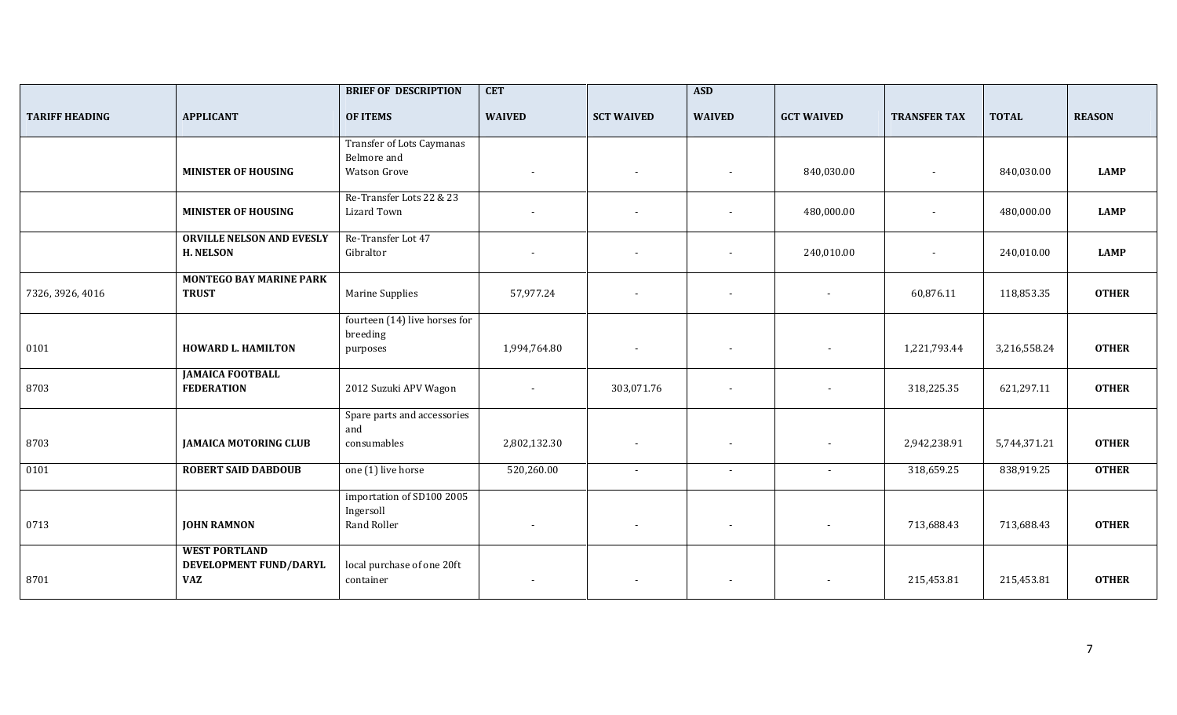|                       |                                                              | <b>BRIEF OF DESCRIPTION</b>                              | <b>CET</b>               |                          | <b>ASD</b>               |                   |                     |              |               |
|-----------------------|--------------------------------------------------------------|----------------------------------------------------------|--------------------------|--------------------------|--------------------------|-------------------|---------------------|--------------|---------------|
| <b>TARIFF HEADING</b> | <b>APPLICANT</b>                                             | <b>OF ITEMS</b>                                          | <b>WAIVED</b>            | <b>SCT WAIVED</b>        | <b>WAIVED</b>            | <b>GCT WAIVED</b> | <b>TRANSFER TAX</b> | <b>TOTAL</b> | <b>REASON</b> |
|                       | <b>MINISTER OF HOUSING</b>                                   | Transfer of Lots Caymanas<br>Belmore and<br>Watson Grove |                          | $\overline{\phantom{a}}$ | $\overline{\phantom{a}}$ | 840,030.00        |                     | 840,030.00   | <b>LAMP</b>   |
|                       | <b>MINISTER OF HOUSING</b>                                   | Re-Transfer Lots 22 & 23<br><b>Lizard Town</b>           |                          | $\blacksquare$           | $\sim$                   | 480,000.00        |                     | 480,000.00   | <b>LAMP</b>   |
|                       | <b>ORVILLE NELSON AND EVESLY</b><br><b>H. NELSON</b>         | Re-Transfer Lot 47<br>Gibraltor                          |                          | $\overline{\phantom{a}}$ | $\overline{\phantom{a}}$ | 240,010.00        |                     | 240,010.00   | <b>LAMP</b>   |
| 7326, 3926, 4016      | <b>MONTEGO BAY MARINE PARK</b><br><b>TRUST</b>               | <b>Marine Supplies</b>                                   | 57,977.24                | $\overline{\phantom{a}}$ |                          |                   | 60,876.11           | 118,853.35   | <b>OTHER</b>  |
| 0101                  | <b>HOWARD L. HAMILTON</b>                                    | fourteen (14) live horses for<br>breeding<br>purposes    | 1,994,764.80             | $\overline{\phantom{a}}$ | $\sim$                   |                   | 1,221,793.44        | 3,216,558.24 | <b>OTHER</b>  |
| 8703                  | <b>JAMAICA FOOTBALL</b><br><b>FEDERATION</b>                 | 2012 Suzuki APV Wagon                                    |                          | 303,071.76               | $\sim$                   |                   | 318,225.35          | 621,297.11   | <b>OTHER</b>  |
| 8703                  | <b>JAMAICA MOTORING CLUB</b>                                 | Spare parts and accessories<br>and<br>consumables        | 2,802,132.30             | $\overline{\phantom{a}}$ | $\overline{\phantom{a}}$ |                   | 2,942,238.91        | 5,744,371.21 | <b>OTHER</b>  |
| 0101                  | <b>ROBERT SAID DABDOUB</b>                                   | one (1) live horse                                       | 520,260.00               | $\overline{\phantom{a}}$ | $\overline{\phantom{a}}$ | $\sim$            | 318,659.25          | 838,919.25   | <b>OTHER</b>  |
| 0713                  | <b>JOHN RAMNON</b>                                           | importation of SD100 2005<br>Ingersoll<br>Rand Roller    | $\overline{\phantom{a}}$ | $\overline{\phantom{a}}$ | $\overline{\phantom{a}}$ |                   | 713,688.43          | 713,688.43   | <b>OTHER</b>  |
| 8701                  | <b>WEST PORTLAND</b><br>DEVELOPMENT FUND/DARYL<br><b>VAZ</b> | local purchase of one 20ft<br>container                  |                          |                          |                          |                   | 215,453.81          | 215,453.81   | <b>OTHER</b>  |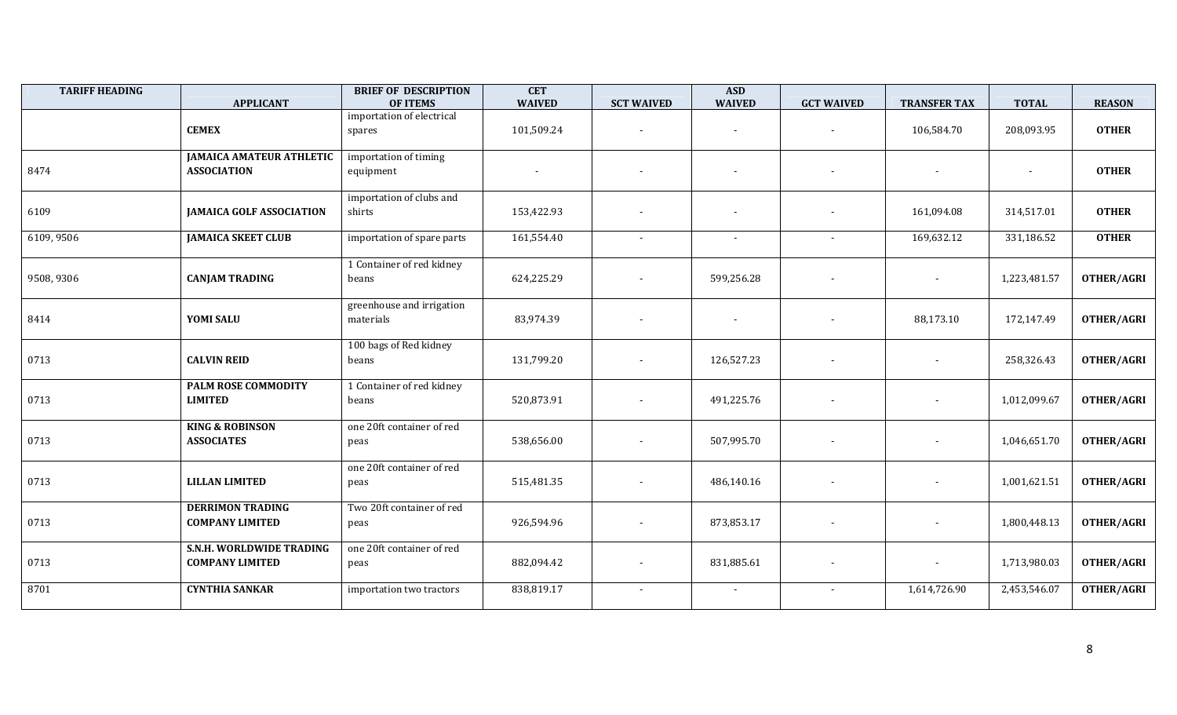| <b>TARIFF HEADING</b> | <b>APPLICANT</b>                                      | <b>BRIEF OF DESCRIPTION</b><br><b>OF ITEMS</b> | <b>CET</b><br><b>WAIVED</b> | <b>SCT WAIVED</b>        | <b>ASD</b><br><b>WAIVED</b> | <b>GCT WAIVED</b>        | <b>TRANSFER TAX</b>      | <b>TOTAL</b>             | <b>REASON</b>     |
|-----------------------|-------------------------------------------------------|------------------------------------------------|-----------------------------|--------------------------|-----------------------------|--------------------------|--------------------------|--------------------------|-------------------|
|                       | <b>CEMEX</b>                                          | importation of electrical<br>spares            | 101,509.24                  |                          |                             | $\overline{\phantom{m}}$ | 106,584.70               | 208,093.95               | <b>OTHER</b>      |
| 8474                  | <b>JAMAICA AMATEUR ATHLETIC</b><br><b>ASSOCIATION</b> | importation of timing<br>equipment             |                             |                          |                             |                          |                          | $\overline{\phantom{a}}$ | <b>OTHER</b>      |
| 6109                  | <b>JAMAICA GOLF ASSOCIATION</b>                       | importation of clubs and<br>shirts             | 153,422.93                  |                          |                             |                          | 161,094.08               | 314,517.01               | <b>OTHER</b>      |
| 6109, 9506            | <b>JAMAICA SKEET CLUB</b>                             | importation of spare parts                     | 161,554.40                  | $\overline{\phantom{a}}$ | $\sim$                      | $\blacksquare$           | 169,632.12               | 331,186.52               | <b>OTHER</b>      |
| 9508, 9306            | <b>CANJAM TRADING</b>                                 | 1 Container of red kidney<br>beans             | 624,225.29                  |                          | 599,256.28                  | $\overline{\phantom{a}}$ |                          | 1,223,481.57             | <b>OTHER/AGRI</b> |
| 8414                  | YOMI SALU                                             | greenhouse and irrigation<br>materials         | 83,974.39                   |                          |                             | $\overline{\phantom{a}}$ | 88,173.10                | 172,147.49               | <b>OTHER/AGRI</b> |
| 0713                  | <b>CALVIN REID</b>                                    | 100 bags of Red kidney<br>beans                | 131,799.20                  |                          | 126,527.23                  | $\overline{\phantom{a}}$ | $\overline{\phantom{a}}$ | 258,326.43               | <b>OTHER/AGRI</b> |
| 0713                  | PALM ROSE COMMODITY<br><b>LIMITED</b>                 | 1 Container of red kidney<br>beans             | 520,873.91                  |                          | 491,225.76                  |                          |                          | 1,012,099.67             | <b>OTHER/AGRI</b> |
| 0713                  | <b>KING &amp; ROBINSON</b><br><b>ASSOCIATES</b>       | one 20ft container of red<br>peas              | 538,656.00                  |                          | 507,995.70                  |                          |                          | 1,046,651.70             | <b>OTHER/AGRI</b> |
| 0713                  | <b>LILLAN LIMITED</b>                                 | one 20ft container of red<br>peas              | 515,481.35                  |                          | 486,140.16                  |                          |                          | 1,001,621.51             | <b>OTHER/AGRI</b> |
| 0713                  | <b>DERRIMON TRADING</b><br><b>COMPANY LIMITED</b>     | Two 20ft container of red<br>peas              | 926,594.96                  |                          | 873,853.17                  |                          |                          | 1,800,448.13             | <b>OTHER/AGRI</b> |
| 0713                  | S.N.H. WORLDWIDE TRADING<br><b>COMPANY LIMITED</b>    | one 20ft container of red<br>peas              | 882,094.42                  |                          | 831,885.61                  | $\overline{\phantom{a}}$ |                          | 1,713,980.03             | <b>OTHER/AGRI</b> |
| 8701                  | <b>CYNTHIA SANKAR</b>                                 | importation two tractors                       | 838,819.17                  |                          | $\sim$                      | $\blacksquare$           | 1,614,726.90             | 2,453,546.07             | <b>OTHER/AGRI</b> |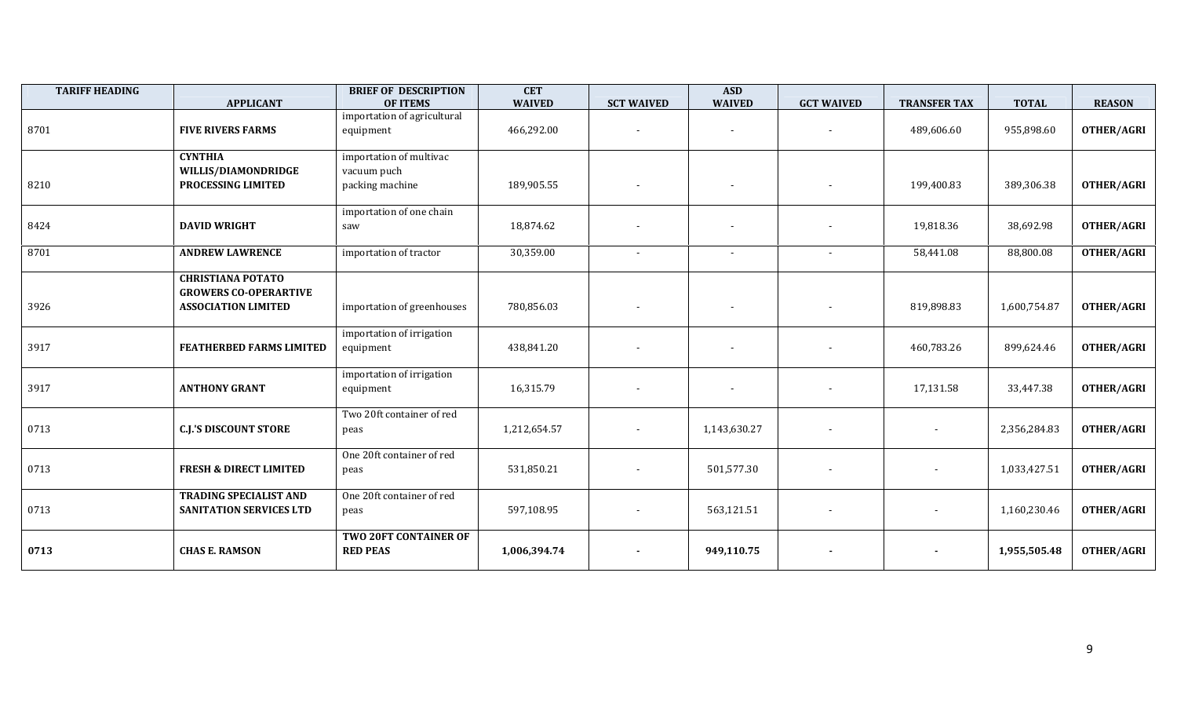| <b>TARIFF HEADING</b> | <b>APPLICANT</b>                                                                       | <b>BRIEF OF DESCRIPTION</b><br><b>OF ITEMS</b>            | <b>CET</b><br><b>WAIVED</b> | <b>SCT WAIVED</b>        | <b>ASD</b><br><b>WAIVED</b> | <b>GCT WAIVED</b>        | <b>TRANSFER TAX</b>      | <b>TOTAL</b> | <b>REASON</b>     |
|-----------------------|----------------------------------------------------------------------------------------|-----------------------------------------------------------|-----------------------------|--------------------------|-----------------------------|--------------------------|--------------------------|--------------|-------------------|
| 8701                  | <b>FIVE RIVERS FARMS</b>                                                               | importation of agricultural<br>equipment                  | 466,292.00                  |                          | $\overline{\phantom{a}}$    | $\sim$                   | 489,606.60               | 955,898.60   | <b>OTHER/AGRI</b> |
| 8210                  | <b>CYNTHIA</b><br>WILLIS/DIAMONDRIDGE<br>PROCESSING LIMITED                            | importation of multivac<br>vacuum puch<br>packing machine | 189,905.55                  | $\overline{\phantom{a}}$ | $\overline{\phantom{a}}$    | $\blacksquare$           | 199,400.83               | 389,306.38   | <b>OTHER/AGRI</b> |
| 8424                  | <b>DAVID WRIGHT</b>                                                                    | importation of one chain<br>saw                           | 18,874.62                   | $\overline{\phantom{a}}$ | $\blacksquare$              | $\overline{\phantom{a}}$ | 19,818.36                | 38,692.98    | <b>OTHER/AGRI</b> |
| 8701                  | <b>ANDREW LAWRENCE</b>                                                                 | importation of tractor                                    | 30,359.00                   | $\overline{\phantom{a}}$ | $\blacksquare$              | $\blacksquare$           | 58,441.08                | 88,800.08    | <b>OTHER/AGRI</b> |
| 3926                  | <b>CHRISTIANA POTATO</b><br><b>GROWERS CO-OPERARTIVE</b><br><b>ASSOCIATION LIMITED</b> | importation of greenhouses                                | 780,856.03                  | $\overline{\phantom{a}}$ | $\blacksquare$              | $\overline{\phantom{a}}$ | 819,898.83               | 1,600,754.87 | <b>OTHER/AGRI</b> |
| 3917                  | <b>FEATHERBED FARMS LIMITED</b>                                                        | importation of irrigation<br>equipment                    | 438,841.20                  | $\overline{\phantom{a}}$ | $\overline{\phantom{a}}$    | $\overline{\phantom{a}}$ | 460,783.26               | 899,624.46   | <b>OTHER/AGRI</b> |
| 3917                  | <b>ANTHONY GRANT</b>                                                                   | importation of irrigation<br>equipment                    | 16,315.79                   | $\overline{\phantom{a}}$ |                             | $\overline{\phantom{a}}$ | 17,131.58                | 33,447.38    | <b>OTHER/AGRI</b> |
| 0713                  | <b>C.J.'S DISCOUNT STORE</b>                                                           | Two 20ft container of red<br>peas                         | 1,212,654.57                |                          | 1,143,630.27                |                          |                          | 2,356,284.83 | <b>OTHER/AGRI</b> |
| 0713                  | <b>FRESH &amp; DIRECT LIMITED</b>                                                      | One 20ft container of red<br>peas                         | 531,850.21                  |                          | 501,577.30                  | $\overline{\phantom{a}}$ | $\overline{\phantom{a}}$ | 1,033,427.51 | <b>OTHER/AGRI</b> |
| 0713                  | <b>TRADING SPECIALIST AND</b><br><b>SANITATION SERVICES LTD</b>                        | One 20ft container of red<br>peas                         | 597,108.95                  |                          | 563,121.51                  |                          |                          | 1,160,230.46 | <b>OTHER/AGRI</b> |
| 0713                  | <b>CHAS E. RAMSON</b>                                                                  | TWO 20FT CONTAINER OF<br><b>RED PEAS</b>                  | 1,006,394.74                | $\blacksquare$           | 949,110.75                  | $\blacksquare$           |                          | 1,955,505.48 | <b>OTHER/AGRI</b> |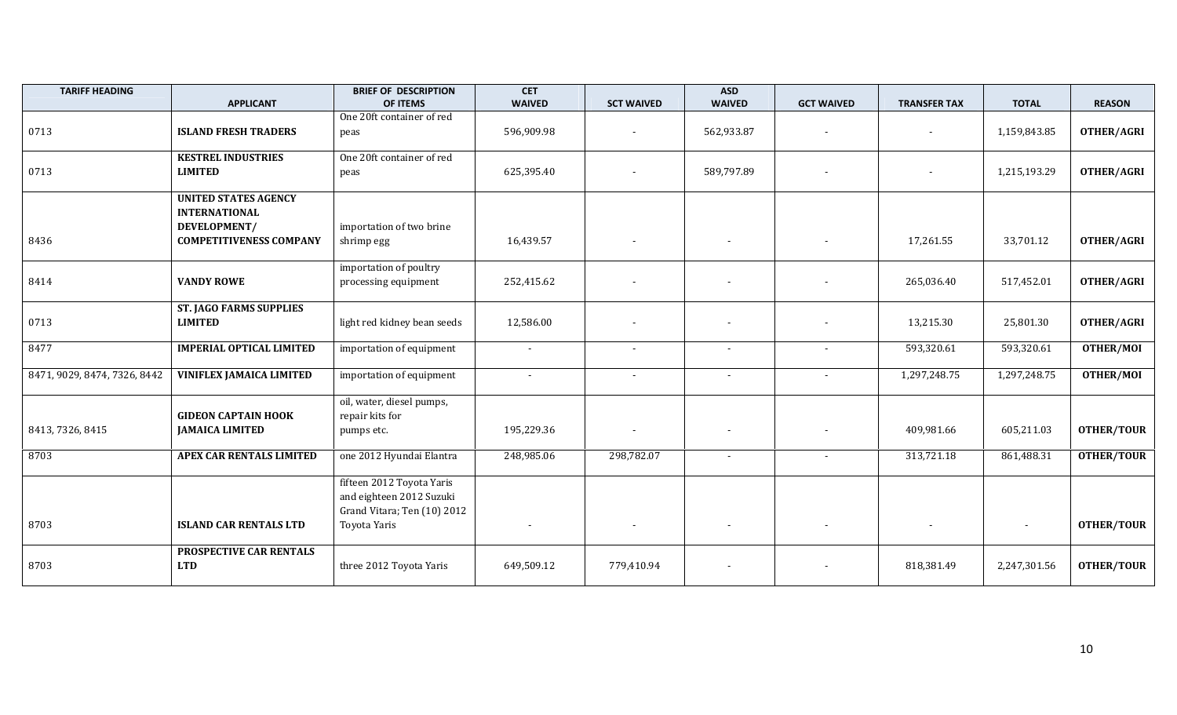| <b>TARIFF HEADING</b>        | <b>APPLICANT</b>                                                                                      | <b>BRIEF OF DESCRIPTION</b><br>OF ITEMS                                                              | <b>CET</b><br><b>WAIVED</b> | <b>SCT WAIVED</b>        | <b>ASD</b><br><b>WAIVED</b> | <b>GCT WAIVED</b> | <b>TRANSFER TAX</b> | <b>TOTAL</b> | <b>REASON</b>     |
|------------------------------|-------------------------------------------------------------------------------------------------------|------------------------------------------------------------------------------------------------------|-----------------------------|--------------------------|-----------------------------|-------------------|---------------------|--------------|-------------------|
| 0713                         | <b>ISLAND FRESH TRADERS</b>                                                                           | One 20ft container of red<br>peas                                                                    | 596,909.98                  | $\overline{\phantom{a}}$ | 562,933.87                  |                   |                     | 1,159,843.85 | <b>OTHER/AGRI</b> |
| 0713                         | <b>KESTREL INDUSTRIES</b><br><b>LIMITED</b>                                                           | One 20ft container of red<br>peas                                                                    | 625,395.40                  | $\overline{\phantom{a}}$ | 589,797.89                  |                   |                     | 1,215,193.29 | OTHER/AGRI        |
| 8436                         | <b>UNITED STATES AGENCY</b><br><b>INTERNATIONAL</b><br>DEVELOPMENT/<br><b>COMPETITIVENESS COMPANY</b> | importation of two brine<br>shrimp egg                                                               | 16,439.57                   | $\overline{\phantom{a}}$ |                             |                   | 17,261.55           | 33,701.12    | <b>OTHER/AGRI</b> |
| 8414                         | <b>VANDY ROWE</b>                                                                                     | importation of poultry<br>processing equipment                                                       | 252,415.62                  | $\overline{\phantom{a}}$ |                             |                   | 265,036.40          | 517,452.01   | <b>OTHER/AGRI</b> |
| 0713                         | <b>ST. JAGO FARMS SUPPLIES</b><br><b>LIMITED</b>                                                      | light red kidney bean seeds                                                                          | 12,586.00                   |                          |                             |                   | 13,215.30           | 25,801.30    | OTHER/AGRI        |
| 8477                         | <b>IMPERIAL OPTICAL LIMITED</b>                                                                       | importation of equipment                                                                             | $\sim$                      | $\sim$                   | $\sim$                      | $\sim$            | 593,320.61          | 593,320.61   | <b>OTHER/MOI</b>  |
| 8471, 9029, 8474, 7326, 8442 | <b>VINIFLEX JAMAICA LIMITED</b>                                                                       | importation of equipment                                                                             | $\sim$                      | $\sim$                   | $\overline{\phantom{a}}$    | $\sim$            | 1,297,248.75        | 1,297,248.75 | OTHER/MOI         |
| 8413, 7326, 8415             | <b>GIDEON CAPTAIN HOOK</b><br><b>JAMAICA LIMITED</b>                                                  | oil, water, diesel pumps,<br>repair kits for<br>pumps etc.                                           | 195,229.36                  | $\overline{\phantom{a}}$ | $\overline{\phantom{a}}$    |                   | 409,981.66          | 605,211.03   | <b>OTHER/TOUR</b> |
| 8703                         | <b>APEX CAR RENTALS LIMITED</b>                                                                       | one 2012 Hyundai Elantra                                                                             | 248,985.06                  | 298,782.07               | $\overline{\phantom{a}}$    |                   | 313,721.18          | 861,488.31   | <b>OTHER/TOUR</b> |
| 8703                         | <b>ISLAND CAR RENTALS LTD</b>                                                                         | fifteen 2012 Toyota Yaris<br>and eighteen 2012 Suzuki<br>Grand Vitara; Ten (10) 2012<br>Toyota Yaris |                             |                          |                             |                   |                     |              | <b>OTHER/TOUR</b> |
| 8703                         | PROSPECTIVE CAR RENTALS<br><b>LTD</b>                                                                 | three 2012 Toyota Yaris                                                                              | 649,509.12                  | 779,410.94               |                             |                   | 818,381.49          | 2,247,301.56 | <b>OTHER/TOUR</b> |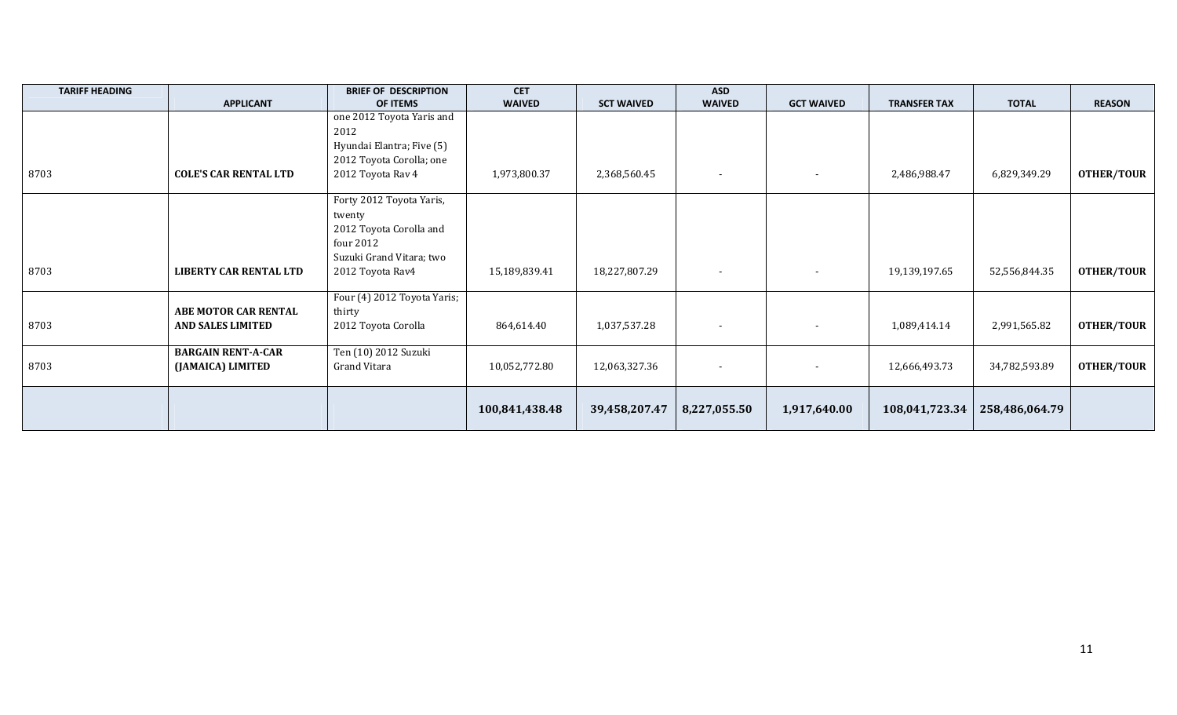| <b>TARIFF HEADING</b> |                               | <b>BRIEF OF DESCRIPTION</b> | <b>CET</b>     |                   | <b>ASD</b>    |                          |                     |                |                   |
|-----------------------|-------------------------------|-----------------------------|----------------|-------------------|---------------|--------------------------|---------------------|----------------|-------------------|
|                       | <b>APPLICANT</b>              | <b>OF ITEMS</b>             | <b>WAIVED</b>  | <b>SCT WAIVED</b> | <b>WAIVED</b> | <b>GCT WAIVED</b>        | <b>TRANSFER TAX</b> | <b>TOTAL</b>   | <b>REASON</b>     |
|                       |                               | one 2012 Toyota Yaris and   |                |                   |               |                          |                     |                |                   |
|                       |                               | 2012                        |                |                   |               |                          |                     |                |                   |
|                       |                               | Hyundai Elantra; Five (5)   |                |                   |               |                          |                     |                |                   |
|                       |                               | 2012 Toyota Corolla; one    |                |                   |               |                          |                     |                |                   |
| 8703                  | <b>COLE'S CAR RENTAL LTD</b>  | 2012 Toyota Rav 4           | 1,973,800.37   | 2,368,560.45      | $\sim$        | $\overline{\phantom{a}}$ | 2,486,988.47        | 6,829,349.29   | <b>OTHER/TOUR</b> |
|                       |                               |                             |                |                   |               |                          |                     |                |                   |
|                       |                               | Forty 2012 Toyota Yaris,    |                |                   |               |                          |                     |                |                   |
|                       |                               | twenty                      |                |                   |               |                          |                     |                |                   |
|                       |                               | 2012 Toyota Corolla and     |                |                   |               |                          |                     |                |                   |
|                       |                               | four 2012                   |                |                   |               |                          |                     |                |                   |
|                       |                               | Suzuki Grand Vitara; two    |                |                   |               |                          |                     |                |                   |
| 8703                  | <b>LIBERTY CAR RENTAL LTD</b> | 2012 Toyota Rav4            | 15,189,839.41  | 18,227,807.29     | $\sim$        | $\sim$                   | 19,139,197.65       | 52,556,844.35  | <b>OTHER/TOUR</b> |
|                       |                               |                             |                |                   |               |                          |                     |                |                   |
|                       |                               | Four (4) 2012 Toyota Yaris; |                |                   |               |                          |                     |                |                   |
|                       | <b>ABE MOTOR CAR RENTAL</b>   | thirty                      |                |                   |               |                          |                     |                |                   |
| 8703                  | <b>AND SALES LIMITED</b>      | 2012 Toyota Corolla         | 864,614.40     | 1,037,537.28      |               | $\overline{\phantom{a}}$ | 1,089,414.14        | 2,991,565.82   | <b>OTHER/TOUR</b> |
|                       |                               |                             |                |                   |               |                          |                     |                |                   |
|                       | <b>BARGAIN RENT-A-CAR</b>     | Ten (10) 2012 Suzuki        |                |                   |               |                          |                     |                |                   |
| 8703                  | (JAMAICA) LIMITED             | Grand Vitara                | 10,052,772.80  | 12,063,327.36     |               | $\overline{\phantom{a}}$ | 12,666,493.73       | 34,782,593.89  | <b>OTHER/TOUR</b> |
|                       |                               |                             |                |                   |               |                          |                     |                |                   |
|                       |                               |                             |                |                   |               |                          |                     |                |                   |
|                       |                               |                             | 100,841,438.48 | 39,458,207.47     | 8,227,055.50  | 1,917,640.00             | 108,041,723.34      | 258,486,064.79 |                   |
|                       |                               |                             |                |                   |               |                          |                     |                |                   |